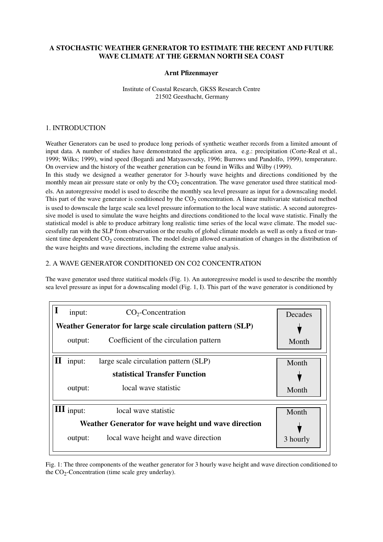# **A STOCHASTIC WEATHER GENERATOR TO ESTIMATE THE RECENT AND FUTURE WAVE CLIMATE AT THE GERMAN NORTH SEA COAST**

## **Arnt Pfizenmayer**

### Institute of Coastal Research, GKSS Research Centre 21502 Geesthacht, Germany

## 1. INTRODUCTION

Weather Generators can be used to produce long periods of synthetic weather records from a limited amount of input data. A number of studies have demonstrated the application area, e.g.: precipitation (Corte-Real et al., 1999; Wilks; 1999), wind speed (Bogardi and Matyasovszky, 1996; Burrows und Pandolfo, 1999), temperature. On overview and the history of the weather generation can be found in Wilks and Wilby (1999).

In this study we designed a weather generator for 3-hourly wave heights and directions conditioned by the monthly mean air pressure state or only by the  $CO_2$  concentration. The wave generator used three statitical models. An autoregressive model is used to describe the monthly sea level pressure as input for a downscaling model. This part of the wave generator is conditioned by the  $CO_2$  concentration. A linear multivariate statistical method is used to downscale the large scale sea level pressure information to the local wave statistic. A second autoregressive model is used to simulate the wave heights and directions conditioned to the local wave statistic. Finally the statistical model is able to produce arbitrary long realistic time series of the local wave climate. The model successfully ran with the SLP from observation or the results of global climate models as well as only a fixed or transient time dependent  $CO_2$  concentration. The model design allowed examination of changes in the distribution of the wave heights and wave directions, including the extreme value analysis.

# 2. A WAVE GENERATOR CONDITIONED ON CO2 CONCENTRATION

The wave generator used three statitical models (Fig. 1). An autoregressive model is used to describe the monthly sea level pressure as input for a downscaling model (Fig. 1, I). This part of the wave generator is conditioned by

|                                                             | input:                                               | $CO2$ -Concentration                   | Decades  |
|-------------------------------------------------------------|------------------------------------------------------|----------------------------------------|----------|
| Weather Generator for large scale circulation pattern (SLP) |                                                      |                                        |          |
|                                                             | output:                                              | Coefficient of the circulation pattern | Month    |
|                                                             | input:                                               | large scale circulation pattern (SLP)  | Month    |
|                                                             |                                                      | statistical Transfer Function          |          |
|                                                             | output:                                              | local wave statistic                   | Month    |
|                                                             | $\mathbf{\Pi}$ input:                                | local wave statistic                   | Month    |
|                                                             | Weather Generator for wave height und wave direction |                                        |          |
|                                                             | output:                                              | local wave height and wave direction   | 3 hourly |

Fig. 1: The three components of the weather generator for 3 hourly wave height and wave direction conditioned to the  $CO_2$ -Concentration (time scale grey underlay).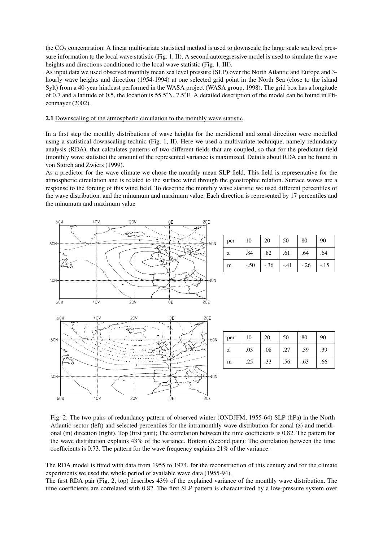the  $CO<sub>2</sub>$  concentration. A linear multivariate statistical method is used to downscale the large scale sea level pressure information to the local wave statistic (Fig. 1, II). A second autoregressive model is used to simulate the wave heights and directions conditioned to the local wave statistic (Fig. 1, III).

As input data we used observed monthly mean sea level pressure (SLP) over the North Atlantic and Europe and 3 hourly wave heights and direction (1954-1994) at one selected grid point in the North Sea (close to the island Sylt) from a 40-year hindcast performed in the WASA project (WASA group, 1998). The grid box has a longitude of 0.7 and a latitude of 0.5, the location is 55.5˚N, 7.5˚E. A detailed description of the model can be found in Pfizenmayer (2002).

#### **2.1** Downscaling of the atmospheric circulation to the monthly wave statistic

In a first step the monthly distributions of wave heights for the meridional and zonal direction were modelled using a statistical downscaling technic (Fig. 1, II). Here we used a multivariate technique, namely redundancy analysis (RDA), that calculates patterns of two different fields that are coupled, so that for the predictant field (monthly wave statistic) the amount of the represented variance is maximized. Details about RDA can be found in von Storch and Zwiers (1999).

As a predictor for the wave climate we chose the monthly mean SLP field. This field is representative for the atmospheric circulation and is related to the surface wind through the geostrophic relation. Surface waves are a response to the forcing of this wind field. To describe the monthly wave statistic we used different percentiles of the wave distribution. and the minumum and maximum value. Each direction is represented by 17 percentiles and the minumum and maximum value



 $20M$ 

4ÒW

 $40<sub>h</sub>$ 

 $60k$ 

| per | 10     | 20     | 50     | 80     | 90    |
|-----|--------|--------|--------|--------|-------|
| Z   | .84    | .82    | .61    | .64    | .64   |
| m   | $-.50$ | $-.36$ | $-.41$ | $-.26$ | $-15$ |

| per | 10  | 20  | 50  | 80  | 90  |
|-----|-----|-----|-----|-----|-----|
| z   | .03 | .08 | .27 | .39 | .39 |
| m   | .25 | .33 | .56 | .63 | .66 |

Fig. 2: The two pairs of redundancy pattern of observed winter (ONDJFM, 1955-64) SLP (hPa) in the North Atlantic sector (left) and selected percentiles for the intramonthly wave distribution for zonal (z) and meridional (m) direction (right). Top (first pair); The correlation between the time coefficients is 0.82. The pattern for the wave distribution explains 43% of the variance. Bottom (Second pair): The correlation between the time coefficients is 0.73. The pattern for the wave frequency explains 21% of the variance.

 $40<sub>h</sub>$ 

2ÒF

The RDA model is fitted with data from 1955 to 1974, for the reconstruction of this century and for the climate experiments we used the whole period of available wave data (1955-94).

The first RDA pair (Fig. 2, top) describes 43% of the explained variance of the monthly wave distribution. The time coefficients are correlated with 0.82. The first SLP pattern is characterized by a low-pressure system over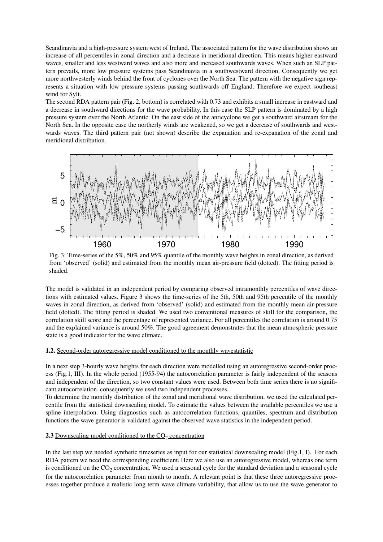Scandinavia and a high-pressure system west of Ireland. The associated pattern for the wave distribution shows an increase of all percentiles in zonal direction and a decrease in meridional direction. This means higher eastward waves, smaller and less westward waves and also more and increased southwards waves. When such an SLP pattern prevails, more low pressure systems pass Scandinavia in a southwestward direction. Consequently we get more northwesterly winds behind the front of cyclones over the North Sea. The pattern with the negative sign represents a situation with low pressure systems passing southwards off England. Therefore we expect southeast wind for Sylt.

The second RDA pattern pair (Fig. 2, bottom) is correlated with 0.73 and exhibits a small increase in eastward and a decrease in southward directions for the wave probability. In this case the SLP pattern is dominated by a high pressure system over the North Atlantic. On the east side of the anticyclone we get a southward airstream for the North Sea. In the opposite case the northerly winds are weakened, so we get a decrease of southwards and westwards waves. The third pattern pair (not shown) describe the expanation and re-expanation of the zonal and meridional distribution.



Fig. 3: Time-series of the 5%, 50% and 95% quantile of the monthly wave heights in zonal direction, as derived from 'observed' (solid) and estimated from the monthly mean air-pressure field (dotted). The fitting period is shaded.

The model is validated in an independent period by comparing observed intramonthly percentiles of wave directions with estimated values. Figure 3 shows the time-series of the 5th, 50th and 95th percentile of the monthly waves in zonal direction, as derived from 'observed' (solid) and estimated from the monthly mean air-pressure field (dotted). The fitting period is shaded. We used two conventional measures of skill for the comparison, the correlation skill score and the percentage of represented variance. For all percentiles the correlation is around 0.75 and the explained variance is around 50%. The good agreement demonstrates that the mean atmospheric pressure state is a good indicator for the wave climate.

### **1.2.** Second-order autoregressive model conditioned to the monthly wavestatistic

In a next step 3-hourly wave heights for each direction were modelled using an autoregressive second-order process (Fig.1, III). In the whole period (1955-94) the autocorrelation parameter is fairly independent of the seasons and independent of the direction, so two constant values were used. Between both time series there is no significant autocorrelation, consequently we used two independent processes.

To determine the monthly distribution of the zonal and meridional wave distribution, we used the calculated percentile from the statistical downscaling model. To estimate the values between the available percentiles we use a spline interpolation. Using diagnostics such as autocorrelation functions, quantiles, spectrum and distribution functions the wave generator is validated against the observed wave statistics in the independent period.

# **2.3** Downscaling model conditioned to the CO<sub>2</sub> concentration

In the last step we needed synthetic timeseries as input for our statistical downscaling model (Fig.1, I). For each RDA pattern we need the corresponding coefficient. Here we also use an autoregressive model, whereas one term is conditioned on the  $CO_2$  concentration. We used a seasonal cycle for the standard deviation and a seasonal cycle for the autocorrelation parameter from month to month. A relevant point is that these three autoregressive processes together produce a realistic long term wave climate variability, that allow us to use the wave generator to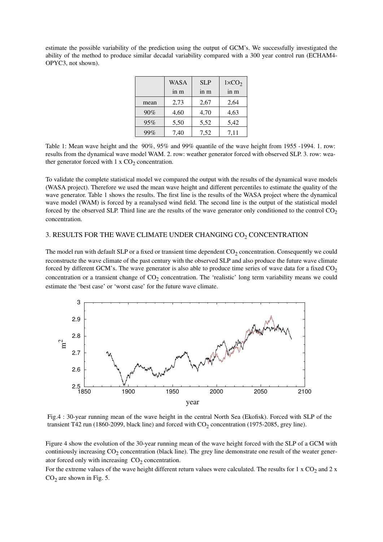estimate the possible variability of the prediction using the output of GCM's. We successfully investigated the ability of the method to produce similar decadal variability compared with a 300 year control run (ECHAM4- OPYC3, not shown).

|      | <b>WASA</b> | <b>SLP</b> | $1 \times CO2$ |
|------|-------------|------------|----------------|
|      | in m        | in m       | in m           |
| mean | 2,73        | 2,67       | 2,64           |
| 90%  | 4,60        | 4,70       | 4,63           |
| 95%  | 5,50        | 5,52       | 5,42           |
| 99%  | 7,40        | 7,52       | 7,11           |

Table 1: Mean wave height and the 90%, 95% and 99% quantile of the wave height from 1955 -1994. 1. row: results from the dynamical wave model WAM. 2. row: weather generator forced with observed SLP. 3. row: weather generator forced with  $1 \times CO_2$  concentration.

To validate the complete statistical model we compared the output with the results of the dynamical wave models (WASA project). Therefore we used the mean wave height and different percentiles to estimate the quality of the wave generator. Table 1 shows the results. The first line is the results of the WASA project where the dynamical wave model (WAM) is forced by a reanalysed wind field. The second line is the output of the statistical model forced by the observed SLP. Third line are the results of the wave generator only conditioned to the control  $CO<sub>2</sub>$ concentration.

# 3. RESULTS FOR THE WAVE CLIMATE UNDER CHANGING  $\mathrm{CO}_2$  CONCENTRATION

The model run with default SLP or a fixed or transient time dependent  $CO_2$  concentration. Consequently we could reconstructe the wave climate of the past century with the observed SLP and also produce the future wave climate forced by different GCM's. The wave generator is also able to produce time series of wave data for a fixed  $CO<sub>2</sub>$ concentration or a transient change of  $CO_2$  concentration. The 'realistic' long term variability means we could estimate the 'best case' or 'worst case' for the future wave climate.



Fig.4 : 30-year running mean of the wave height in the central North Sea (Ekofisk). Forced with SLP of the transient T42 run (1860-2099, black line) and forced with  $CO_2$  concentration (1975-2085, grey line).

Figure 4 show the evolution of the 30-year running mean of the wave height forced with the SLP of a GCM with continiously increasing  $CO_2$  concentration (black line). The grey line demonstrate one result of the weater generator forced only with increasing  $CO<sub>2</sub>$  concentration.

For the extreme values of the wave height different return values were calculated. The results for  $1 \times CO_2$  and  $2 \times$  $CO<sub>2</sub>$  are shown in Fig. 5.